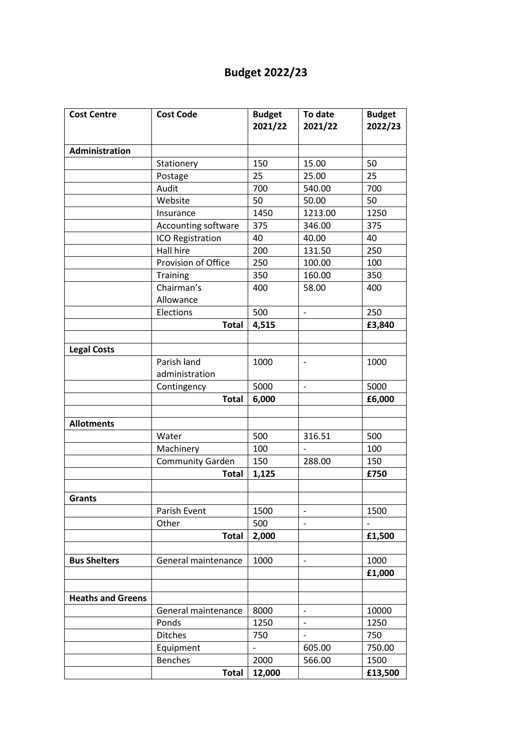## **Budget 2022/23**

| <b>Cost Centre</b>       | <b>Cost Code</b>        | <b>Budget</b><br>2021/22 | To date<br>2021/22       | <b>Budget</b><br>2022/23 |
|--------------------------|-------------------------|--------------------------|--------------------------|--------------------------|
|                          |                         |                          |                          |                          |
| <b>Administration</b>    |                         |                          |                          |                          |
|                          | Stationery              | 150                      | 15.00                    | 50                       |
|                          | Postage                 | 25                       | 25.00                    | 25                       |
|                          | Audit                   | 700                      | 540.00                   | 700                      |
|                          | Website                 | 50                       | 50.00                    | 50                       |
|                          | Insurance               | 1450                     | 1213.00                  | 1250                     |
|                          | Accounting software     | 375                      | 346.00                   | 375                      |
|                          | ICO Registration        | 40                       | 40.00                    | 40                       |
|                          | Hall hire               | 200                      | 131.50                   | 250                      |
|                          | Provision of Office     | 250                      | 100.00                   | 100                      |
|                          | Training                | 350                      | 160.00                   | 350                      |
|                          | Chairman's              | 400                      | 58.00                    | 400                      |
|                          | Allowance               |                          |                          |                          |
|                          | Elections               | 500                      | $\blacksquare$           | 250                      |
|                          | <b>Total</b>            | 4,515                    |                          | £3,840                   |
|                          |                         |                          |                          |                          |
| <b>Legal Costs</b>       |                         |                          |                          |                          |
|                          | Parish land             | 1000                     | $\blacksquare$           | 1000                     |
|                          | administration          |                          |                          |                          |
|                          | Contingency             | 5000                     | $\overline{\phantom{0}}$ | 5000                     |
|                          | <b>Total</b>            | 6,000                    |                          | £6,000                   |
|                          |                         |                          |                          |                          |
| <b>Allotments</b>        |                         |                          |                          |                          |
|                          | Water                   | 500                      | 316.51                   | 500                      |
|                          | Machinery               | 100                      |                          | 100                      |
|                          | <b>Community Garden</b> | 150                      | 288.00                   | 150                      |
|                          | <b>Total</b>            | 1,125                    |                          | £750                     |
|                          |                         |                          |                          |                          |
| <b>Grants</b>            |                         |                          |                          |                          |
|                          | Parish Event            | 1500                     | $\qquad \qquad -$        | 1500                     |
|                          | Other                   | 500                      | $\overline{a}$           |                          |
|                          | <b>Total</b>            | 2,000                    |                          | £1,500                   |
|                          |                         |                          |                          |                          |
| <b>Bus Shelters</b>      | General maintenance     | 1000                     | $\overline{\phantom{a}}$ | 1000                     |
|                          |                         |                          |                          | £1,000                   |
|                          |                         |                          |                          |                          |
| <b>Heaths and Greens</b> |                         |                          |                          |                          |
|                          | General maintenance     | 8000                     | $\overline{\phantom{a}}$ | 10000                    |
|                          | Ponds                   | 1250                     | $\overline{\phantom{a}}$ | 1250                     |
|                          | <b>Ditches</b>          | 750                      | $\overline{\phantom{0}}$ | 750                      |
|                          | Equipment               |                          | 605.00                   | 750.00                   |
|                          | <b>Benches</b>          | 2000                     | 566.00                   | 1500                     |
|                          | <b>Total</b>            | 12,000                   |                          | £13,500                  |
|                          |                         |                          |                          |                          |